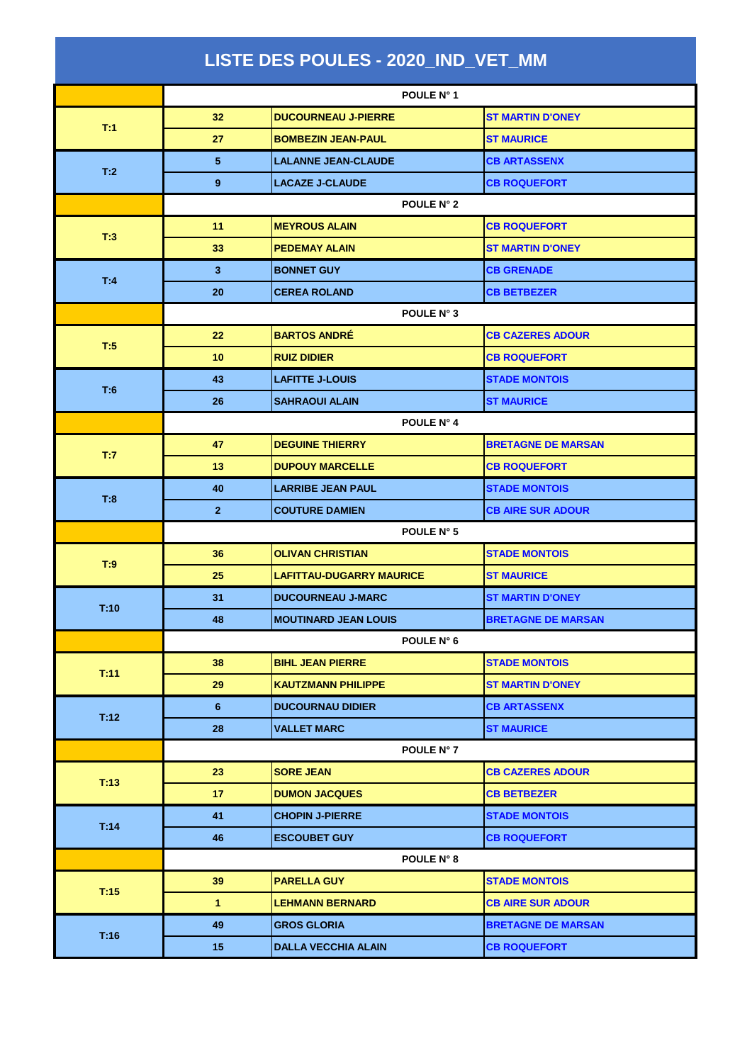| LISTE DES POULES - 2020_IND_VET_MM |                   |                             |                           |  |
|------------------------------------|-------------------|-----------------------------|---------------------------|--|
|                                    | <b>POULE N°1</b>  |                             |                           |  |
| T:1                                | 32                | <b>DUCOURNEAU J-PIERRE</b>  | <b>ST MARTIN D'ONEY</b>   |  |
|                                    | 27                | <b>BOMBEZIN JEAN-PAUL</b>   | <b>ST MAURICE</b>         |  |
| T:2                                | 5                 | <b>LALANNE JEAN-CLAUDE</b>  | <b>CB ARTASSENX</b>       |  |
|                                    | 9                 | <b>LACAZE J-CLAUDE</b>      | <b>CB ROQUEFORT</b>       |  |
|                                    | POULE N° 2        |                             |                           |  |
| T:3                                | 11                | <b>MEYROUS ALAIN</b>        | <b>CB ROQUEFORT</b>       |  |
|                                    | 33                | <b>PEDEMAY ALAIN</b>        | <b>ST MARTIN D'ONEY</b>   |  |
|                                    | 3 <sup>2</sup>    | <b>BONNET GUY</b>           | <b>CB GRENADE</b>         |  |
| T:4                                | 20                | <b>CEREA ROLAND</b>         | <b>CB BETBEZER</b>        |  |
|                                    | POULE N° 3        |                             |                           |  |
|                                    | 22                | <b>BARTOS ANDRÉ</b>         | <b>CB CAZERES ADOUR</b>   |  |
| T:5                                | 10                | <b>RUIZ DIDIER</b>          | <b>CB ROQUEFORT</b>       |  |
|                                    | 43                | <b>LAFITTE J-LOUIS</b>      | <b>STADE MONTOIS</b>      |  |
| T:6                                | 26                | <b>SAHRAOUI ALAIN</b>       | <b>ST MAURICE</b>         |  |
|                                    | POULE N° 4        |                             |                           |  |
| T:7                                | 47                | <b>DEGUINE THIERRY</b>      | <b>BRETAGNE DE MARSAN</b> |  |
|                                    | 13                | <b>DUPOUY MARCELLE</b>      | <b>CB ROQUEFORT</b>       |  |
| T:8                                | 40                | <b>LARRIBE JEAN PAUL</b>    | <b>STADE MONTOIS</b>      |  |
|                                    | $\overline{2}$    | <b>COUTURE DAMIEN</b>       | <b>CB AIRE SUR ADOUR</b>  |  |
|                                    | POULE N° 5        |                             |                           |  |
| T:9                                | 36                | <b>OLIVAN CHRISTIAN</b>     | <b>STADE MONTOIS</b>      |  |
|                                    | 25                | LAFITTAU-DUGARRY MAURICE    | <b>ST MAURICE</b>         |  |
| T:10                               | 31                | <b>DUCOURNEAU J-MARC</b>    | <b>ST MARTIN D'ONEY</b>   |  |
|                                    | 48                | <b>MOUTINARD JEAN LOUIS</b> | <b>BRETAGNE DE MARSAN</b> |  |
|                                    | POULE N° 6        |                             |                           |  |
| T:11                               | 38                | <b>BIHL JEAN PIERRE</b>     | <b>STADE MONTOIS</b>      |  |
|                                    | 29                | <b>KAUTZMANN PHILIPPE</b>   | <b>ST MARTIN D'ONEY</b>   |  |
| T:12                               | 6                 | <b>DUCOURNAU DIDIER</b>     | <b>CB ARTASSENX</b>       |  |
|                                    | 28                | <b>VALLET MARC</b>          | <b>ST MAURICE</b>         |  |
|                                    |                   | POULE N° 7                  |                           |  |
| T:13                               | 23                | <b>SORE JEAN</b>            | <b>CB CAZERES ADOUR</b>   |  |
|                                    | 17                | <b>DUMON JACQUES</b>        | <b>CB BETBEZER</b>        |  |
| T:14                               | 41                | <b>CHOPIN J-PIERRE</b>      | <b>STADE MONTOIS</b>      |  |
|                                    | 46                | <b>ESCOUBET GUY</b>         | <b>CB ROQUEFORT</b>       |  |
|                                    | <b>POULE N° 8</b> |                             |                           |  |
| T:15                               | 39                | <b>PARELLA GUY</b>          | <b>STADE MONTOIS</b>      |  |
|                                    | $\mathbf{1}$      | <b>LEHMANN BERNARD</b>      | <b>CB AIRE SUR ADOUR</b>  |  |
| T:16                               | 49                | <b>GROS GLORIA</b>          | <b>BRETAGNE DE MARSAN</b> |  |
|                                    | 15                | <b>DALLA VECCHIA ALAIN</b>  | <b>CB ROQUEFORT</b>       |  |